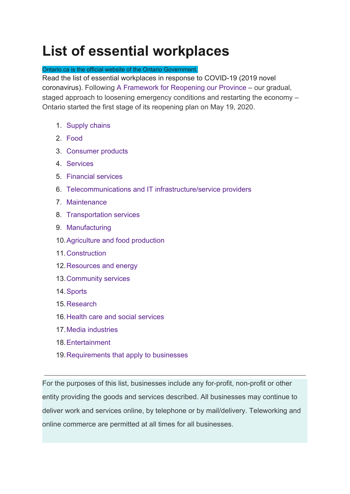# **List of essential workplaces**

#### Ontario.ca is the official website of the Ontario Government.

Read the list of essential workplaces in response to COVID-19 (2019 novel coronavirus). Following [A Framework for Reopening our Province](https://www.ontario.ca/page/framework-reopening-our-province) – our gradual, staged approach to loosening emergency conditions and restarting the economy – Ontario started the first stage of its reopening plan on May 19, 2020.

- 1. [Supply chains](https://www.ontario.ca/page/list-essential-workplaces#section-0)
- 2. [Food](https://www.ontario.ca/page/list-essential-workplaces#section-1)
- 3. [Consumer products](https://www.ontario.ca/page/list-essential-workplaces#section-2)
- 4. [Services](https://www.ontario.ca/page/list-essential-workplaces#section-3)
- 5. [Financial services](https://www.ontario.ca/page/list-essential-workplaces#section-4)
- 6. [Telecommunications and IT infrastructure/service providers](https://www.ontario.ca/page/list-essential-workplaces#section-5)
- 7. [Maintenance](https://www.ontario.ca/page/list-essential-workplaces#section-6)
- 8. [Transportation services](https://www.ontario.ca/page/list-essential-workplaces#section-7)
- 9. [Manufacturing](https://www.ontario.ca/page/list-essential-workplaces#section-8)
- 10.[Agriculture and food production](https://www.ontario.ca/page/list-essential-workplaces#section-9)
- 11. [Construction](https://www.ontario.ca/page/list-essential-workplaces#section-10)
- 12.[Resources and energy](https://www.ontario.ca/page/list-essential-workplaces#section-11)
- 13.[Community services](https://www.ontario.ca/page/list-essential-workplaces#section-12)
- 14.[Sports](https://www.ontario.ca/page/list-essential-workplaces#section-13)
- 15.[Research](https://www.ontario.ca/page/list-essential-workplaces#section-14)
- 16.[Health care and social services](https://www.ontario.ca/page/list-essential-workplaces#section-15)
- 17.[Media industries](https://www.ontario.ca/page/list-essential-workplaces#section-16)
- 18.[Entertainment](https://www.ontario.ca/page/list-essential-workplaces#section-17)
- 19.[Requirements that apply to businesses](https://www.ontario.ca/page/list-essential-workplaces#section-18)

For the purposes of this list, businesses include any for-profit, non-profit or other entity providing the goods and services described. All businesses may continue to deliver work and services online, by telephone or by mail/delivery. Teleworking and online commerce are permitted at all times for all businesses.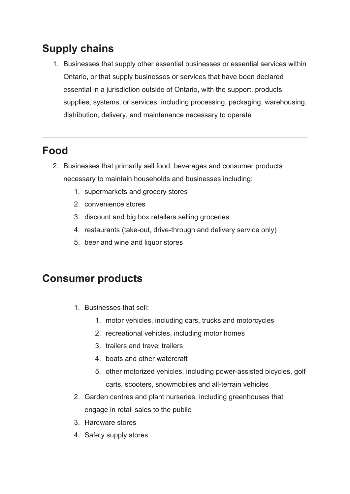# **Supply chains**

1. Businesses that supply other essential businesses or essential services within Ontario, or that supply businesses or services that have been declared essential in a jurisdiction outside of Ontario, with the support, products, supplies, systems, or services, including processing, packaging, warehousing, distribution, delivery, and maintenance necessary to operate

# **Food**

- 2. Businesses that primarily sell food, beverages and consumer products necessary to maintain households and businesses including:
	- 1. supermarkets and grocery stores
	- 2. convenience stores
	- 3. discount and big box retailers selling groceries
	- 4. restaurants (take-out, drive-through and delivery service only)
	- 5. beer and wine and liquor stores

### **Consumer products**

- 1. Businesses that sell:
	- 1. motor vehicles, including cars, trucks and motorcycles
	- 2. recreational vehicles, including motor homes
	- 3. trailers and travel trailers
	- 4. boats and other watercraft
	- 5. other motorized vehicles, including power-assisted bicycles, golf carts, scooters, snowmobiles and all-terrain vehicles
- 2. Garden centres and plant nurseries, including greenhouses that engage in retail sales to the public
- 3. Hardware stores
- 4. Safety supply stores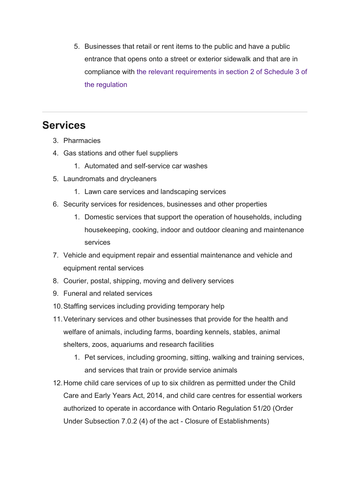5. Businesses that retail or rent items to the public and have a public entrance that opens onto a street or exterior sidewalk and that are in compliance with [the relevant requirements in section 2 of Schedule 3 of](https://www.ontario.ca/#retail-or-rental-business) [the regulation](https://www.ontario.ca/#retail-or-rental-business)

# **Services**

- 3. Pharmacies
- 4. Gas stations and other fuel suppliers
	- 1. Automated and self-service car washes
- 5. Laundromats and drycleaners
	- 1. Lawn care services and landscaping services
- 6. Security services for residences, businesses and other properties
	- 1. Domestic services that support the operation of households, including housekeeping, cooking, indoor and outdoor cleaning and maintenance services
- 7. Vehicle and equipment repair and essential maintenance and vehicle and equipment rental services
- 8. Courier, postal, shipping, moving and delivery services
- 9. Funeral and related services
- 10.Staffing services including providing temporary help
- 11.Veterinary services and other businesses that provide for the health and welfare of animals, including farms, boarding kennels, stables, animal shelters, zoos, aquariums and research facilities
	- 1. Pet services, including grooming, sitting, walking and training services, and services that train or provide service animals
- 12.Home child care services of up to six children as permitted under the Child Care and Early Years Act, 2014, and child care centres for essential workers authorized to operate in accordance with Ontario Regulation 51/20 (Order Under Subsection 7.0.2 (4) of the act - Closure of Establishments)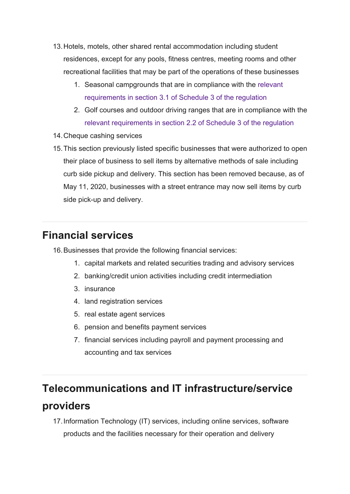- 13.Hotels, motels, other shared rental accommodation including student residences, except for any pools, fitness centres, meeting rooms and other recreational facilities that may be part of the operations of these businesses
	- 1. Seasonal campgrounds that are in compliance with the [relevant](https://www.ontario.ca/#seasonal-campground-req) [requirements in section 3.1 of Schedule 3 of the regulation](https://www.ontario.ca/#seasonal-campground-req)
	- 2. Golf courses and outdoor driving ranges that are in compliance with the [relevant requirements in section 2.2 of Schedule 3 of the regulation](https://www.ontario.ca/#golf-courses)
- 14.Cheque cashing services
- 15.This section previously listed specific businesses that were authorized to open their place of business to sell items by alternative methods of sale including curb side pickup and delivery. This section has been removed because, as of May 11, 2020, businesses with a street entrance may now sell items by curb side pick-up and delivery.

### **Financial services**

16.Businesses that provide the following financial services:

- 1. capital markets and related securities trading and advisory services
- 2. banking/credit union activities including credit intermediation
- 3. insurance
- 4. land registration services
- 5. real estate agent services
- 6. pension and benefits payment services
- 7. financial services including payroll and payment processing and accounting and tax services

### **Telecommunications and IT infrastructure/service**

#### **providers**

17.Information Technology (IT) services, including online services, software products and the facilities necessary for their operation and delivery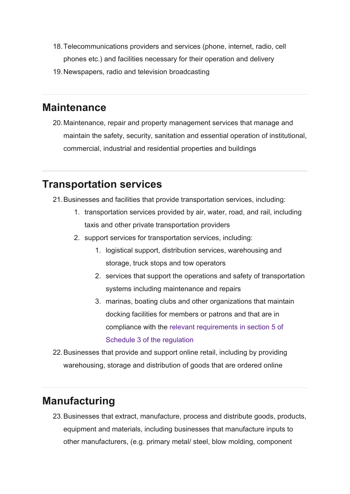- 18.Telecommunications providers and services (phone, internet, radio, cell phones etc.) and facilities necessary for their operation and delivery
- 19.Newspapers, radio and television broadcasting

### **Maintenance**

20.Maintenance, repair and property management services that manage and maintain the safety, security, sanitation and essential operation of institutional, commercial, industrial and residential properties and buildings

# **Transportation services**

- 21.Businesses and facilities that provide transportation services, including:
	- 1. transportation services provided by air, water, road, and rail, including taxis and other private transportation providers
	- 2. support services for transportation services, including:
		- 1. logistical support, distribution services, warehousing and storage, truck stops and tow operators
		- 2. services that support the operations and safety of transportation systems including maintenance and repairs
		- 3. marinas, boating clubs and other organizations that maintain docking facilities for members or patrons and that are in compliance with the [relevant requirements in section 5 of](https://www.ontario.ca/#marinas) [Schedule 3 of the regulation](https://www.ontario.ca/#marinas)

22.Businesses that provide and support online retail, including by providing warehousing, storage and distribution of goods that are ordered online

# **Manufacturing**

23.Businesses that extract, manufacture, process and distribute goods, products, equipment and materials, including businesses that manufacture inputs to other manufacturers, (e.g. primary metal/ steel, blow molding, component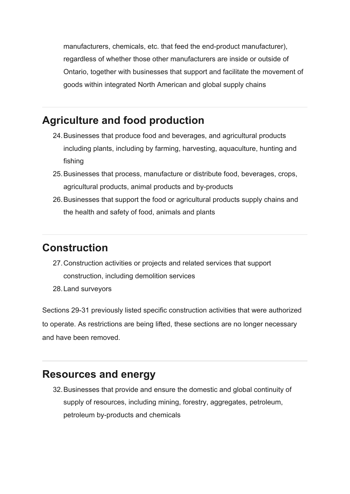manufacturers, chemicals, etc. that feed the end-product manufacturer), regardless of whether those other manufacturers are inside or outside of Ontario, together with businesses that support and facilitate the movement of goods within integrated North American and global supply chains

# **Agriculture and food production**

- 24.Businesses that produce food and beverages, and agricultural products including plants, including by farming, harvesting, aquaculture, hunting and fishing
- 25.Businesses that process, manufacture or distribute food, beverages, crops, agricultural products, animal products and by-products
- 26.Businesses that support the food or agricultural products supply chains and the health and safety of food, animals and plants

### **Construction**

- 27.Construction activities or projects and related services that support construction, including demolition services
- 28.Land surveyors

Sections 29-31 previously listed specific construction activities that were authorized to operate. As restrictions are being lifted, these sections are no longer necessary and have been removed.

### **Resources and energy**

32.Businesses that provide and ensure the domestic and global continuity of supply of resources, including mining, forestry, aggregates, petroleum, petroleum by-products and chemicals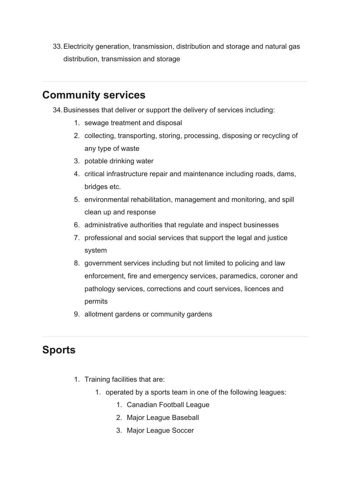33.Electricity generation, transmission, distribution and storage and natural gas distribution, transmission and storage

# **Community services**

34.Businesses that deliver or support the delivery of services including:

- 1. sewage treatment and disposal
- 2. collecting, transporting, storing, processing, disposing or recycling of any type of waste
- 3. potable drinking water
- 4. critical infrastructure repair and maintenance including roads, dams, bridges etc.
- 5. environmental rehabilitation, management and monitoring, and spill clean up and response
- 6. administrative authorities that regulate and inspect businesses
- 7. professional and social services that support the legal and justice system
- 8. government services including but not limited to policing and law enforcement, fire and emergency services, paramedics, coroner and pathology services, corrections and court services, licences and permits
- 9. allotment gardens or community gardens

# **Sports**

- 1. Training facilities that are:
	- 1. operated by a sports team in one of the following leagues:
		- 1. Canadian Football League
		- 2. Major League Baseball
		- 3. Major League Soccer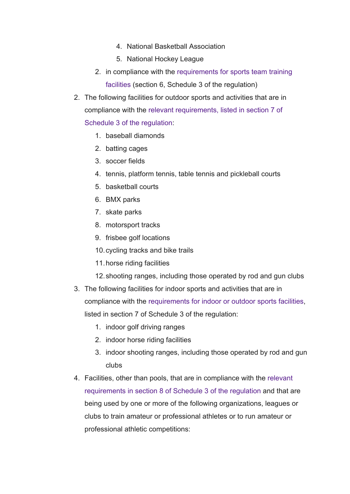- 4. National Basketball Association
- 5. National Hockey League
- 2. in compliance with the [requirements for sports team training](https://www.ontario.ca/#sports-team-training-facilities) [facilities](https://www.ontario.ca/#sports-team-training-facilities) (section 6, Schedule 3 of the regulation)
- 2. The following facilities for outdoor sports and activities that are in compliance with the [relevant requirements, listed in section 7 of](https://www.ontario.ca/#indoor-outdoor-sports) [Schedule 3 of the regulation](https://www.ontario.ca/#indoor-outdoor-sports):
	- 1. baseball diamonds
	- 2. batting cages
	- 3. soccer fields
	- 4. tennis, platform tennis, table tennis and pickleball courts
	- 5. basketball courts
	- 6. BMX parks
	- 7. skate parks
	- 8. motorsport tracks
	- 9. frisbee golf locations
	- 10.cycling tracks and bike trails
	- 11.horse riding facilities
	- 12.shooting ranges, including those operated by rod and gun clubs
- 3. The following facilities for indoor sports and activities that are in compliance with the [requirements for indoor or outdoor sports facilities](https://www.ontario.ca/#indoor-outdoor-sports), listed in section 7 of Schedule 3 of the regulation:
	- 1. indoor golf driving ranges
	- 2. indoor horse riding facilities
	- 3. indoor shooting ranges, including those operated by rod and gun clubs
- 4. Facilities, other than pools, that are in compliance with the [relevant](https://www.ontario.ca/#facilities-for-ahtletic-or-competitions) [requirements in section 8 of Schedule 3 of the regulation](https://www.ontario.ca/#facilities-for-ahtletic-or-competitions) and that are being used by one or more of the following organizations, leagues or clubs to train amateur or professional athletes or to run amateur or professional athletic competitions: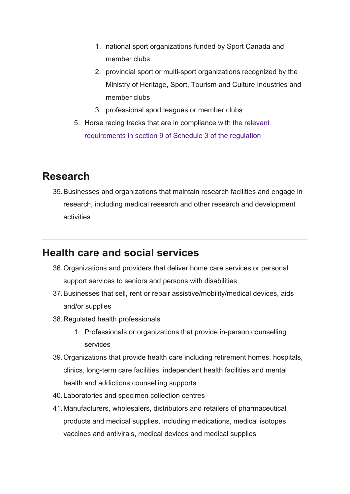- 1. national sport organizations funded by Sport Canada and member clubs
- 2. provincial sport or multi-sport organizations recognized by the Ministry of Heritage, Sport, Tourism and Culture Industries and member clubs
- 3. professional sport leagues or member clubs
- 5. Horse racing tracks that are in compliance with [the relevant](https://www.ontario.ca/#horse-racing-tracks) [requirements in section 9 of Schedule 3 of the regulation](https://www.ontario.ca/#horse-racing-tracks)

### **Research**

35.Businesses and organizations that maintain research facilities and engage in research, including medical research and other research and development activities

### **Health care and social services**

- 36.Organizations and providers that deliver home care services or personal support services to seniors and persons with disabilities
- 37.Businesses that sell, rent or repair assistive/mobility/medical devices, aids and/or supplies
- 38.Regulated health professionals
	- 1. Professionals or organizations that provide in-person counselling services
- 39.Organizations that provide health care including retirement homes, hospitals, clinics, long-term care facilities, independent health facilities and mental health and addictions counselling supports
- 40.Laboratories and specimen collection centres
- 41.Manufacturers, wholesalers, distributors and retailers of pharmaceutical products and medical supplies, including medications, medical isotopes, vaccines and antivirals, medical devices and medical supplies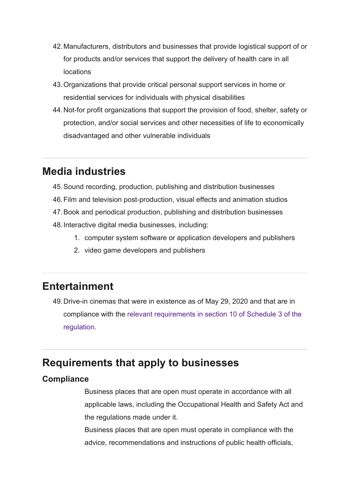- 42.Manufacturers, distributors and businesses that provide logistical support of or for products and/or services that support the delivery of health care in all locations
- 43.Organizations that provide critical personal support services in home or residential services for individuals with physical disabilities
- 44.Not-for profit organizations that support the provision of food, shelter, safety or protection, and/or social services and other necessities of life to economically disadvantaged and other vulnerable individuals

### **Media industries**

- 45.Sound recording, production, publishing and distribution businesses
- 46.Film and television post-production, visual effects and animation studios
- 47.Book and periodical production, publishing and distribution businesses
- 48.Interactive digital media businesses, including:
	- 1. computer system software or application developers and publishers
	- 2. video game developers and publishers

### **Entertainment**

49.Drive-in cinemas that were in existence as of May 29, 2020 and that are in compliance with the [relevant requirements in section 10 of Schedule 3 of the](https://www.ontario.ca/#drive-in-cinema) [regulation.](https://www.ontario.ca/#drive-in-cinema)

### **Requirements that apply to businesses**

#### **Compliance**

Business places that are open must operate in accordance with all applicable laws, including the Occupational Health and Safety Act and the regulations made under it.

Business places that are open must operate in compliance with the advice, recommendations and instructions of public health officials,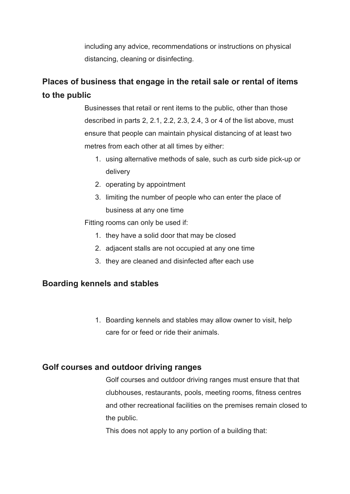including any advice, recommendations or instructions on physical distancing, cleaning or disinfecting.

### **Places of business that engage in the retail sale or rental of items to the public**

Businesses that retail or rent items to the public, other than those described in parts 2, 2.1, 2.2, 2.3, 2.4, 3 or 4 of the list above, must ensure that people can maintain physical distancing of at least two metres from each other at all times by either:

- 1. using alternative methods of sale, such as curb side pick-up or delivery
- 2. operating by appointment
- 3. limiting the number of people who can enter the place of business at any one time

Fitting rooms can only be used if:

- 1. they have a solid door that may be closed
- 2. adjacent stalls are not occupied at any one time
- 3. they are cleaned and disinfected after each use

#### **Boarding kennels and stables**

1. Boarding kennels and stables may allow owner to visit, help care for or feed or ride their animals.

#### **Golf courses and outdoor driving ranges**

Golf courses and outdoor driving ranges must ensure that that clubhouses, restaurants, pools, meeting rooms, fitness centres and other recreational facilities on the premises remain closed to the public.

This does not apply to any portion of a building that: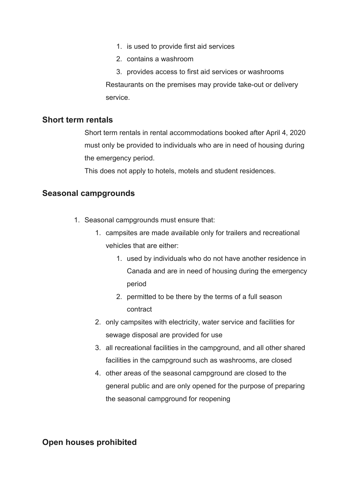- 1. is used to provide first aid services
- 2. contains a washroom

3. provides access to first aid services or washrooms Restaurants on the premises may provide take-out or delivery service.

#### **Short term rentals**

Short term rentals in rental accommodations booked after April 4, 2020 must only be provided to individuals who are in need of housing during the emergency period.

This does not apply to hotels, motels and student residences.

#### **Seasonal campgrounds**

- 1. Seasonal campgrounds must ensure that:
	- 1. campsites are made available only for trailers and recreational vehicles that are either:
		- 1. used by individuals who do not have another residence in Canada and are in need of housing during the emergency period
		- 2. permitted to be there by the terms of a full season contract
	- 2. only campsites with electricity, water service and facilities for sewage disposal are provided for use
	- 3. all recreational facilities in the campground, and all other shared facilities in the campground such as washrooms, are closed
	- 4. other areas of the seasonal campground are closed to the general public and are only opened for the purpose of preparing the seasonal campground for reopening

#### **Open houses prohibited**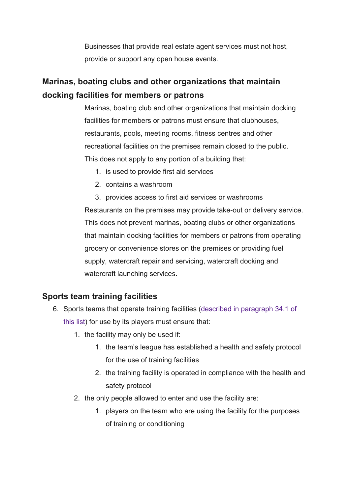Businesses that provide real estate agent services must not host, provide or support any open house events.

### **Marinas, boating clubs and other organizations that maintain docking facilities for members or patrons**

Marinas, boating club and other organizations that maintain docking facilities for members or patrons must ensure that clubhouses, restaurants, pools, meeting rooms, fitness centres and other recreational facilities on the premises remain closed to the public. This does not apply to any portion of a building that:

- 1. is used to provide first aid services
- 2. contains a washroom

3. provides access to first aid services or washrooms Restaurants on the premises may provide take-out or delivery service. This does not prevent marinas, boating clubs or other organizations that maintain docking facilities for members or patrons from operating grocery or convenience stores on the premises or providing fuel supply, watercraft repair and servicing, watercraft docking and watercraft launching services.

#### **Sports team training facilities**

- 6. Sports teams that operate training facilities [\(described in paragraph 34.1 of](https://www.ontario.ca/#section-13) [this list\)](https://www.ontario.ca/#section-13) for use by its players must ensure that:
	- 1. the facility may only be used if:
		- 1. the team's league has established a health and safety protocol for the use of training facilities
		- 2. the training facility is operated in compliance with the health and safety protocol
	- 2. the only people allowed to enter and use the facility are:
		- 1. players on the team who are using the facility for the purposes of training or conditioning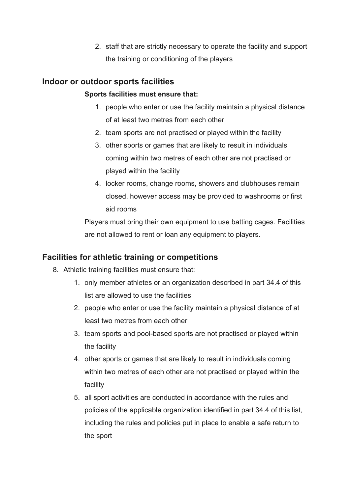2. staff that are strictly necessary to operate the facility and support the training or conditioning of the players

#### **Indoor or outdoor sports facilities**

#### **Sports facilities must ensure that:**

- 1. people who enter or use the facility maintain a physical distance of at least two metres from each other
- 2. team sports are not practised or played within the facility
- 3. other sports or games that are likely to result in individuals coming within two metres of each other are not practised or played within the facility
- 4. locker rooms, change rooms, showers and clubhouses remain closed, however access may be provided to washrooms or first aid rooms

Players must bring their own equipment to use batting cages. Facilities are not allowed to rent or loan any equipment to players.

#### **Facilities for athletic training or competitions**

- 8. Athletic training facilities must ensure that:
	- 1. only member athletes or an organization described in part 34.4 of this list are allowed to use the facilities
	- 2. people who enter or use the facility maintain a physical distance of at least two metres from each other
	- 3. team sports and pool-based sports are not practised or played within the facility
	- 4. other sports or games that are likely to result in individuals coming within two metres of each other are not practised or played within the facility
	- 5. all sport activities are conducted in accordance with the rules and policies of the applicable organization identified in part 34.4 of this list, including the rules and policies put in place to enable a safe return to the sport